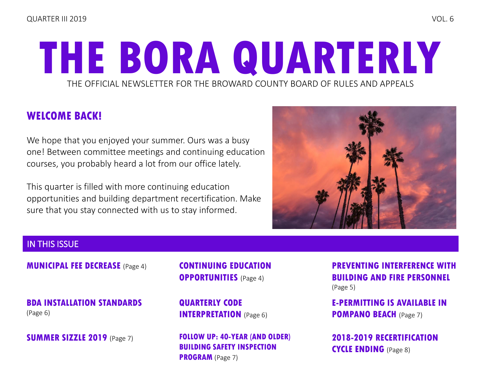# THE OFFICIAL NEWSLETTER FOR THE BROWARD COUNTY BOARD OF RULES AND APPEALS **THE BORA QUARTERLY**

# **WELCOME BACK!**

We hope that you enjoyed your summer. Ours was a busy one! Between committee meetings and continuing education courses, you probably heard a lot from our office lately.

This quarter is filled with more continuing education opportunities and building department recertification. Make sure that you stay connected with us to stay informed.



### IN THIS ISSUE

**[MUNICIPAL FEE DECREASE](#page-3-0)** (Page 4)

**[BDA INSTALLATION STANDARDS](#page-5-0)**  (Page 6)

**[SUMMER SIZZLE 2019](#page-6-0)** (Page 7)

**[CONTINUING EDUCATION](#page-3-0)  OPPORTUNITIES** (Page 4)

**[QUARTERLY CODE](#page-5-0)  INTERPRETATION** (Page 6)

**[FOLLOW UP: 40-YEAR \(AND OLDER\)](#page-6-0)  BUILDING SAFETY INSPECTION PROGRAM** (Page 7)

**[PREVENTING INTERFERENCE WITH](#page-4-0)  BUILDING AND FIRE PERSONNEL** (Page 5)

**[E-PERMITTING IS AVAILABLE IN](#page-6-0)  POMPANO BEACH** (Page 7)

**[2018-2019 RECERTIFICATION](#page-7-0)  CYCLE ENDING** (Page 8)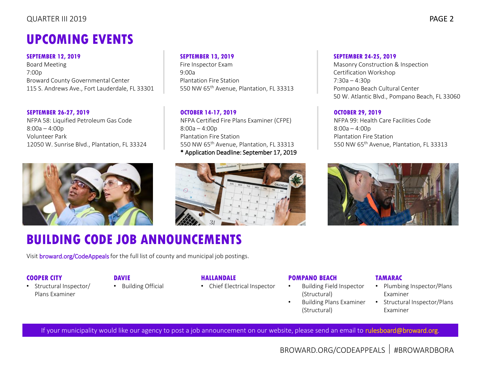### QUARTER III 2019 PAGE 2

# **UPCOMING EVENTS**

#### **SEPTEMBER 12, 2019**

Board Meeting 7:00p Broward County Governmental Center 115 S. Andrews Ave., Fort Lauderdale, FL 33301

#### **SEPTEMBER 26-27, 2019**

NFPA 58: Liquified Petroleum Gas Code 8:00a – 4:00p Volunteer Park 12050 W. Sunrise Blvd., Plantation, FL 33324



# **BUILDING CODE JOB ANNOUNCEMENTS**

Visi[t broward.org/CodeAppeals](http://www.broward.org/CodeAppeals/Pages/JobAnnouncements.aspx) for the full list of county and municipal job postings.

#### **COOPER CITY**

• Structural Inspector/ Plans Examiner

### **DAVIE**

• Building Official

#### **HALLANDALE**

• Chief Electrical Inspector

#### **POMPANO BEACH**

- Building Field Inspector (Structural)
- Building Plans Examiner (Structural)

### **TAMARAC**

- Plumbing Inspector/Plans Examiner
- Structural Inspector/Plans Examiner

If your municipality would like our agency to post a job announcement on our website, please send an email t[o rulesboard@broward.org.](mailto:rulesboard@broward.org)

#### **SEPTEMBER 13, 2019**

Fire Inspector Exam  $9.00a$ Plantation Fire Station 550 NW 65th Avenue, Plantation, FL 33313

### **OCTOBER 14-17, 2019**

NFPA Certified Fire Plans Examiner (CFPE) 8:00a – 4:00p Plantation Fire Station 550 NW 65th Avenue, Plantation, FL 33313 \* Application Deadline: September 17, 2019



#### **SEPTEMBER 24-25, 2019**

Masonry Construction & Inspection Certification Workshop 7:30a – 4:30p Pompano Beach Cultural Center 50 W. Atlantic Blvd., Pompano Beach, FL 33060

#### **OCTOBER 29, 2019**

NFPA 99: Health Care Facilities Code 8:00a – 4:00p Plantation Fire Station 550 NW 65th Avenue, Plantation, FL 33313

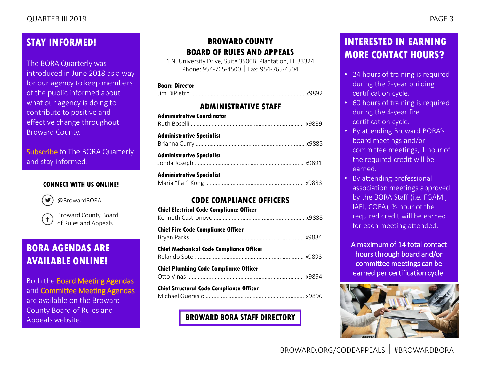### **STAY INFORMED!**

The BORA Quarterly was introduced in June 2018 as a way for our agency to keep members of the public informed about what our agency is doing to contribute to positive and effective change throughout Broward County.

[Subscribe](mailto:rulesboard@broward.org) to The BORA Quarterly and stay informed!

### **CONNECT WITH US ONLINE!**



[@BrowardBORA](https://twitter.com/BrowardBORA)

[Broward County Board](https://www.facebook.com/BrowardBORA/)   $\mathbf{f}$ of Rules and Appeals

### **BORA AGENDAS ARE AVAILABLE ONLINE!**

Both the [Board Meeting Agendas](http://www.broward.org/CodeAppeals/Pages/BoardMeetingAgendas.aspx) and [Committee Meeting Agendas](http://www.broward.org/CodeAppeals/Pages/CommitteeMeetingAgendas.aspx) are available on the Broward County Board of Rules and Appeals website.

### **BROWARD COUNTY BOARD OF RULES AND APPEALS**

1 N. University Drive, Suite 3500B, Plantation, FL 33324 Phone: 954-765-4500 Fax: 954-765-4504

#### **Board Director**

|--|--|

### **ADMINISTRATIVE STAFF**

| <b>Administrative Coordinator</b> |  |
|-----------------------------------|--|
| <b>Administrative Specialist</b>  |  |
| <b>Administrative Specialist</b>  |  |
| <b>Administrative Specialist</b>  |  |

### **CODE COMPLIANCE OFFICERS**

### **[BROWARD BORA STAFF DIRECTORY](http://www.broward.org/CodeAppeals/Pages/staffContacts.aspx)**

### **INTERESTED IN EARNING MORE CONTACT HOURS?**

- 24 hours of training is required during the 2-year building certification cycle.
- 60 hours of training is required during the 4-year fire certification cycle.
- By attending Broward BORA's board meetings and/or committee meetings, 1 hour of the required credit will be earned.
- By attending professional association meetings approved by the BORA Staff (i.e. FGAMI, IAEI, COEA), ½ hour of the required credit will be earned for each meeting attended.

A maximum of 14 total contact hours through board and/or committee meetings can be earned per certification cycle.

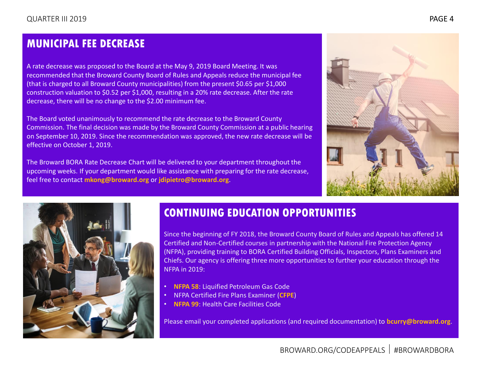### <span id="page-3-0"></span>**MUNICIPAL FEE DECREASE**

A rate decrease was proposed to the Board at the May 9, 2019 Board Meeting. It was recommended that the Broward County Board of Rules and Appeals reduce the municipal fee (that is charged to all Broward County municipalities) from the present \$0.65 per \$1,000 construction valuation to \$0.52 per \$1,000, resulting in a 20% rate decrease. After the rate decrease, there will be no change to the \$2.00 minimum fee.

The Board voted unanimously to recommend the rate decrease to the Broward County Commission. The final decision was made by the Broward County Commission at a public hearing on September 10, 2019. Since the recommendation was approved, the new rate decrease will be effective on October 1, 2019.

The Broward BORA Rate Decrease Chart will be delivered to your department throughout the upcoming weeks. If your department would like assistance with preparing for the rate decrease, feel free to contact **[mkong@broward.org](mailto:mkong@broward.org)** or **[jdipietro@broward.org](mailto:jdipietro@broward.org)**.





# **CONTINUING EDUCATION OPPORTUNITIES**

Since the beginning of FY 2018, the Broward County Board of Rules and Appeals has offered 14 Certified and Non-Certified courses in partnership with the National Fire Protection Agency (NFPA), providing training to BORA Certified Building Officials, Inspectors, Plans Examiners and Chiefs. Our agency is offering three more opportunities to further your education through the NFPA in 2019:

- **[NFPA 58](http://www.broward.org/CodeAppeals/Documents/NFPA%2058%20-%20Liquified%20Petroleum%20Gas%20Code.pdf)**: Liquified Petroleum Gas Code
- NFPA Certified Fire Plans Examiner (**[CFPE](http://www.broward.org/CodeAppeals/AboutUs/Documents/Certified%20Fire%20Plans%20Examiner.pdf)**)
- **[NFPA 99](http://www.broward.org/CodeAppeals/Documents/NFPA%2099.pdf)**: Health Care Facilities Code

Please email your completed applications (and required documentation) to **[bcurry@broward.org](mailto:bcurry@broward.org)**.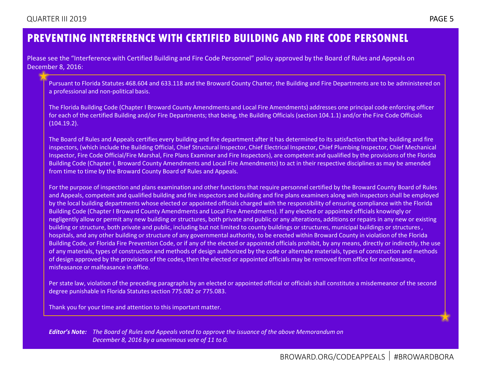### <span id="page-4-0"></span>**PREVENTING INTERFERENCE WITH CERTIFIED BUILDING AND FIRE CODE PERSONNEL**

Please see the "Interference with Certified Building and Fire Code Personnel" policy approved by the Board of Rules and Appeals on December 8, 2016:

Pursuant to Florida Statutes 468.604 and 633.118 and the Broward County Charter, the Building and Fire Departments are to be administered on a professional and non-political basis.

The Florida Building Code (Chapter I Broward County Amendments and Local Fire Amendments) addresses one principal code enforcing officer for each of the certified Building and/or Fire Departments; that being, the Building Officials (section 104.1.1) and/or the Fire Code Officials (104.19.2).

The Board of Rules and Appeals certifies every building and fire department after it has determined to its satisfaction that the building and fire inspectors, (which include the Building Official, Chief Structural Inspector, Chief Electrical Inspector, Chief Plumbing Inspector, Chief Mechanical Inspector, Fire Code Official/Fire Marshal, Fire Plans Examiner and Fire Inspectors), are competent and qualified by the provisions of the Florida Building Code (Chapter I, Broward County Amendments and Local Fire Amendments) to act in their respective disciplines as may be amended from time to time by the Broward County Board of Rules and Appeals.

For the purpose of inspection and plans examination and other functions that require personnel certified by the Broward County Board of Rules and Appeals, competent and qualified building and fire inspectors and building and fire plans examiners along with inspectors shall be employed by the local building departments whose elected or appointed officials charged with the responsibility of ensuring compliance with the Florida Building Code (Chapter I Broward County Amendments and Local Fire Amendments). If any elected or appointed officials knowingly or negligently allow or permit any new building or structures, both private and public or any alterations, additions or repairs in any new or existing building or structure, both private and public, including but not limited to county buildings or structures, municipal buildings or structures , hospitals, and any other building or structure of any governmental authority, to be erected within Broward County in violation of the Florida Building Code, or Florida Fire Prevention Code, or if any of the elected or appointed officials prohibit, by any means, directly or indirectly, the use of any materials, types of construction and methods of design authorized by the code or alternate materials, types of construction and methods of design approved by the provisions of the codes, then the elected or appointed officials may be removed from office for nonfeasance, misfeasance or malfeasance in office.

Per state law, violation of the preceding paragraphs by an elected or appointed official or officials shall constitute a misdemeanor of the second degree punishable in Florida Statutes section 775.082 or 775.083.

Thank you for your time and attention to this important matter.

*Editor's Note: The Board of Rules and Appeals voted to approve the issuance of the above Memorandum on December 8, 2016 by a unanimous vote of 11 to 0.*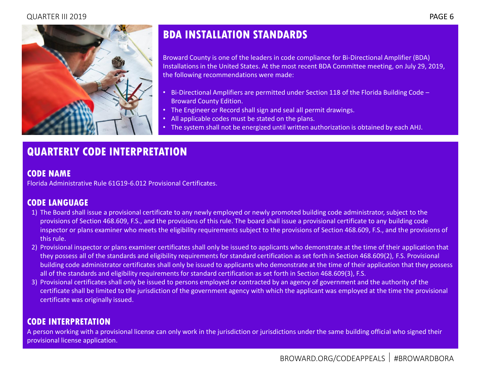<span id="page-5-0"></span>

# **BDA INSTALLATION STANDARDS**

Broward County is one of the leaders in code compliance for Bi-Directional Amplifier (BDA) Installations in the United States. At the most recent BDA Committee meeting, on July 29, 2019, the following recommendations were made:

- Bi-Directional Amplifiers are permitted under Section 118 of the Florida Building Code Broward County Edition.
- The Engineer or Record shall sign and seal all permit drawings.
- All applicable codes must be stated on the plans.
- The system shall not be energized until written authorization is obtained by each AHJ.

# **QUARTERLY CODE INTERPRETATION**

### **CODE NAME**

Florida Administrative Rule 61G19-6.012 Provisional Certificates.

### **CODE LANGUAGE**

- 1) The Board shall issue a provisional certificate to any newly employed or newly promoted building code administrator, subject to the provisions of Section 468.609, F.S., and the provisions of this rule. The board shall issue a provisional certificate to any building code inspector or plans examiner who meets the eligibility requirements subject to the provisions of Section 468.609, F.S., and the provisions of this rule.
- 2) Provisional inspector or plans examiner certificates shall only be issued to applicants who demonstrate at the time of their application that they possess all of the standards and eligibility requirements for standard certification as set forth in Section 468.609(2), F.S. Provisional building code administrator certificates shall only be issued to applicants who demonstrate at the time of their application that they possess all of the standards and eligibility requirements for standard certification as set forth in Section 468.609(3), F.S.
- 3) Provisional certificates shall only be issued to persons employed or contracted by an agency of government and the authority of the certificate shall be limited to the jurisdiction of the government agency with which the applicant was employed at the time the provisional certificate was originally issued.

### **CODE INTERPRETATION**

A person working with a provisional license can only work in the jurisdiction or jurisdictions under the same building official who signed their provisional license application.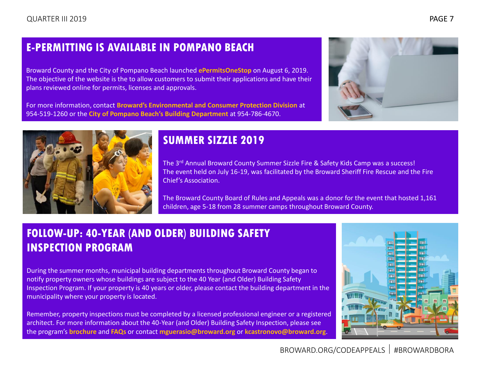# <span id="page-6-0"></span>**E-PERMITTING IS AVAILABLE IN POMPANO BEACH**

Broward County and the City of Pompano Beach launched **[ePermitsOneStop](http://pompanobeachfl.gov/pages/broward_county)** on August 6, 2019. The objective of the website is the to allow customers to submit their applications and have their plans reviewed online for permits, licenses and approvals.

For more information, contact **[Broward's Environmental and Consumer Protection Division](http://www.broward.org/Consumer/Pages/Default.aspx)** at 954-519-1260 or the **[City of Pompano Beach's Building Department](http://pompanobeachfl.gov/pages/building_inspections)** at 954-786-4670.





## **SUMMER SIZZLE 2019**

The 3rd Annual Broward County Summer Sizzle Fire & Safety Kids Camp was a success! The event held on July 16-19, was facilitated by the Broward Sheriff Fire Rescue and the Fire Chief's Association.

The Broward County Board of Rules and Appeals was a donor for the event that hosted 1,161 children, age 5-18 from 28 summer camps throughout Broward County.

# **FOLLOW-UP: 40-YEAR (AND OLDER) BUILDING SAFETY INSPECTION PROGRAM**

During the summer months, municipal building departments throughout Broward County began to notify property owners whose buildings are subject to the 40 Year (and Older) Building Safety Inspection Program. If your property is 40 years or older, please contact the building department in the municipality where your property is located.

Remember, property inspections must be completed by a licensed professional engineer or a registered architect. For more information about the 40-Year (and Older) Building Safety Inspection, please see the program's **[brochure](http://www.broward.org/CodeAppeals/Documents/40%20Year%20(and%20Older)%20Building%20Safety%20Inspection%20Program.pdf)** and **[FAQs](http://www.broward.org/CodeAppeals/Documents/40%20Year%20(and%20Older)%20Building%20Safety%20Inspection%20Program%20FAQs.pdf)** or contact **[mguerasio@broward.org](mailto:mguerasio@broward.org)** or **[kcastronovo@broward.org](mailto:kcastronovo@broward.org)**.

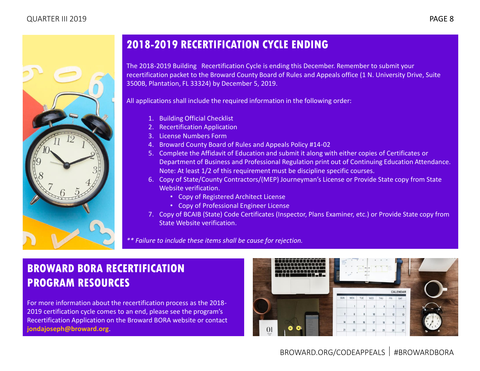<span id="page-7-0"></span>

# **2018-2019 RECERTIFICATION CYCLE ENDING**

The 2018-2019 Building Recertification Cycle is ending this December. Remember to submit your recertification packet to the Broward County Board of Rules and Appeals office (1 N. University Drive, Suite 3500B, Plantation, FL 33324) by December 5, 2019.

All applications shall include the required information in the following order:

- 1. Building Official Checklist
- 2. Recertification Application
- 3. License Numbers Form
- 4. Broward County Board of Rules and Appeals Policy #14-02
- 5. Complete the Affidavit of Education and submit it along with either copies of Certificates or Department of Business and Professional Regulation print out of Continuing Education Attendance. Note: At least 1/2 of this requirement must be discipline specific courses.
- 6. Copy of State/County Contractors/(MEP) Journeyman's License or Provide State copy from State Website verification.
	- Copy of Registered Architect License
	- Copy of Professional Engineer License
- 7. Copy of BCAIB (State) Code Certificates (Inspector, Plans Examiner, etc.) or Provide State copy from State Website verification.

*\*\* Failure to include these items shall be cause for rejection.*

# **BROWARD BORA RECERTIFICATION PROGRAM RESOURCES**

For more information about the recertification process as the 2018- 2019 certification cycle comes to an end, please see the program's Recertification Application on the Broward BORA website or contact **[jondajoseph@broward.org](mailto:jondajoseph@broward.org)**.